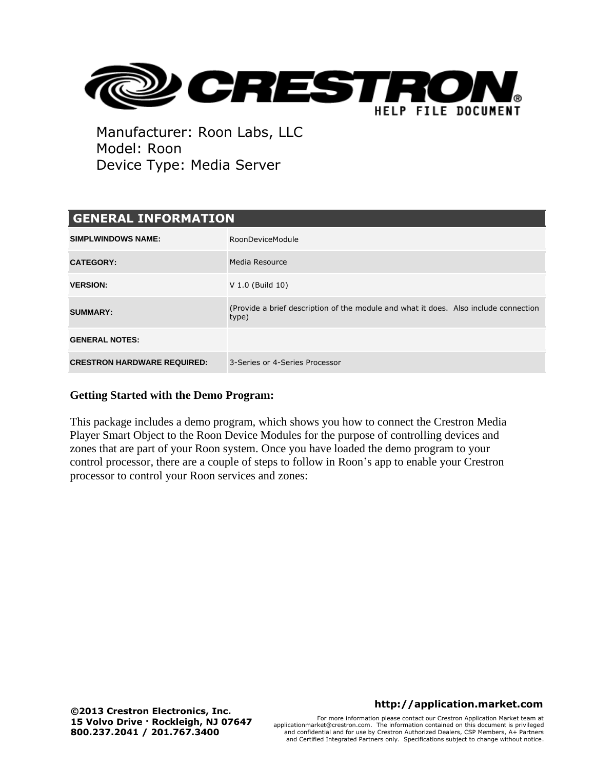

| <b>GENERAL INFORMATION</b>         |                                                                                               |  |
|------------------------------------|-----------------------------------------------------------------------------------------------|--|
| <b>SIMPLWINDOWS NAME:</b>          | RoonDeviceModule                                                                              |  |
| <b>CATEGORY:</b>                   | Media Resource                                                                                |  |
| <b>VERSION:</b>                    | V 1.0 (Build 10)                                                                              |  |
| <b>SUMMARY:</b>                    | (Provide a brief description of the module and what it does. Also include connection<br>type) |  |
| <b>GENERAL NOTES:</b>              |                                                                                               |  |
| <b>CRESTRON HARDWARE REQUIRED:</b> | 3-Series or 4-Series Processor                                                                |  |

## **Getting Started with the Demo Program:**

This package includes a demo program, which shows you how to connect the Crestron Media Player Smart Object to the Roon Device Modules for the purpose of controlling devices and zones that are part of your Roon system. Once you have loaded the demo program to your control processor, there are a couple of steps to follow in Roon's app to enable your Crestron processor to control your Roon services and zones:

## **http://application.market.com**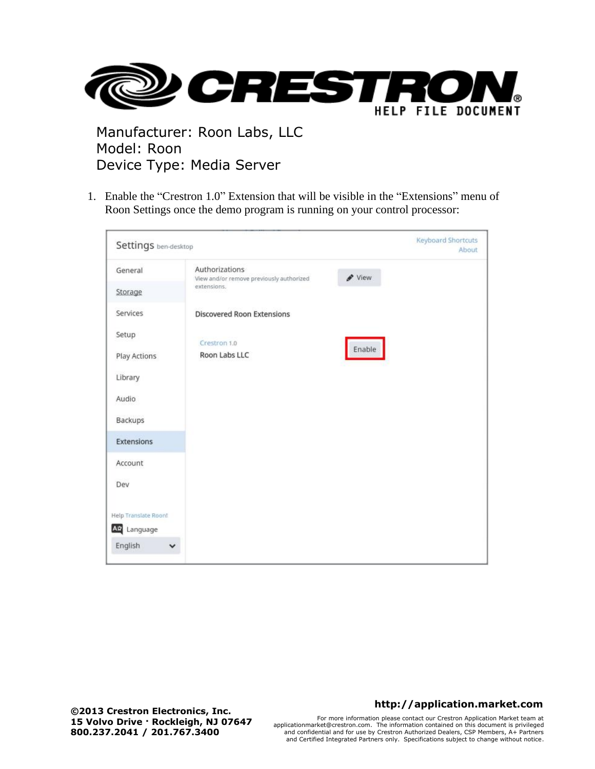

1. Enable the "Crestron 1.0" Extension that will be visible in the "Extensions" menu of Roon Settings once the demo program is running on your control processor:

| Settings ben-desktop    |                                                            | <b>Keyboard Shortcuts</b><br>About |
|-------------------------|------------------------------------------------------------|------------------------------------|
| General                 | Authorizations<br>View and/or remove previously authorized | View                               |
| Storage                 | extensions.                                                |                                    |
| Services                | <b>Discovered Roon Extensions</b>                          |                                    |
| Setup                   | Crestron 1.0                                               |                                    |
| Play Actions            | Roon Labs LLC                                              | Enable                             |
| Library                 |                                                            |                                    |
| Audio                   |                                                            |                                    |
| Backups                 |                                                            |                                    |
| Extensions              |                                                            |                                    |
| Account                 |                                                            |                                    |
| Dev                     |                                                            |                                    |
| Help Translate Roon!    |                                                            |                                    |
| As Language             |                                                            |                                    |
| English<br>$\checkmark$ |                                                            |                                    |

## **http://application.market.com**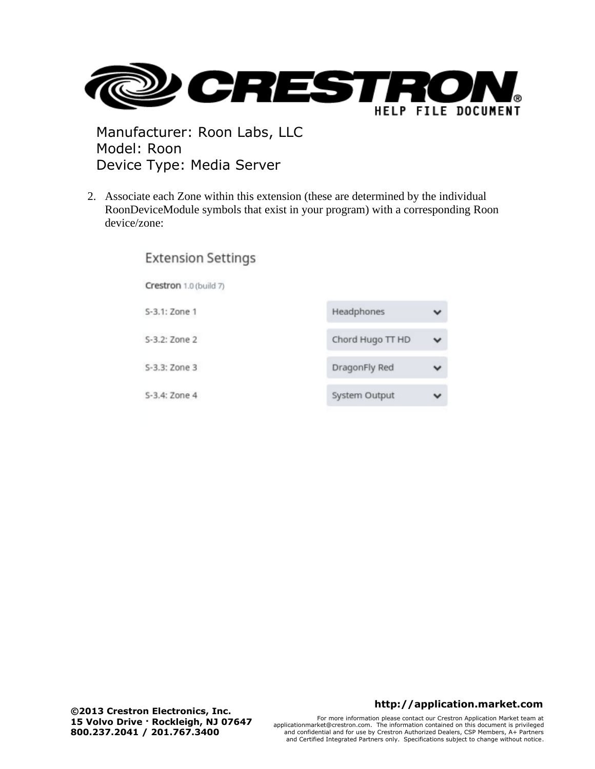

2. Associate each Zone within this extension (these are determined by the individual RoonDeviceModule symbols that exist in your program) with a corresponding Roon device/zone:

| <b>Extension Settings</b> |                  |  |
|---------------------------|------------------|--|
| Crestron 1.0 (build 7)    |                  |  |
| S-3.1: Zone 1             | Headphones       |  |
| S-3.2: Zone 2             | Chord Hugo TT HD |  |
| S-3.3: Zone 3             | DragonFly Red    |  |
| S-3.4: Zone 4             | System Output    |  |

**©2013 Crestron Electronics, Inc. 15 Volvo Drive · Rockleigh, NJ 07647 800.237.2041 / 201.767.3400**

#### **http://application.market.com**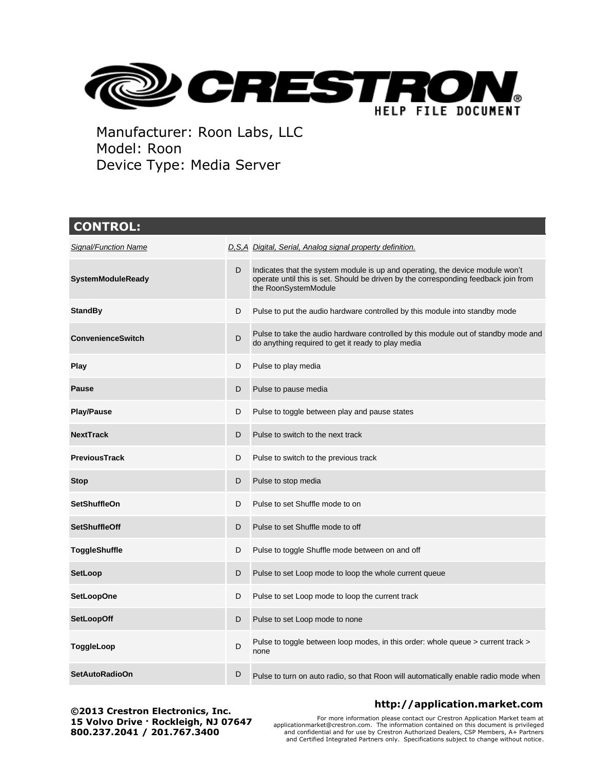

| <b>CONTROL:</b>          |   |                                                                                                                                                                                              |
|--------------------------|---|----------------------------------------------------------------------------------------------------------------------------------------------------------------------------------------------|
| Signal/Function Name     |   | D, S, A Digital, Serial, Analog signal property definition.                                                                                                                                  |
| <b>SystemModuleReady</b> | D | Indicates that the system module is up and operating, the device module won't<br>operate until this is set. Should be driven by the corresponding feedback join from<br>the RoonSystemModule |
| <b>StandBy</b>           | D | Pulse to put the audio hardware controlled by this module into standby mode                                                                                                                  |
| <b>ConvenienceSwitch</b> | D | Pulse to take the audio hardware controlled by this module out of standby mode and<br>do anything required to get it ready to play media                                                     |
| Play                     | D | Pulse to play media                                                                                                                                                                          |
| <b>Pause</b>             | D | Pulse to pause media                                                                                                                                                                         |
| <b>Play/Pause</b>        | D | Pulse to toggle between play and pause states                                                                                                                                                |
| <b>NextTrack</b>         | D | Pulse to switch to the next track                                                                                                                                                            |
| <b>PreviousTrack</b>     | D | Pulse to switch to the previous track                                                                                                                                                        |
| <b>Stop</b>              | D | Pulse to stop media                                                                                                                                                                          |
| <b>SetShuffleOn</b>      | D | Pulse to set Shuffle mode to on                                                                                                                                                              |
| <b>SetShuffleOff</b>     | D | Pulse to set Shuffle mode to off                                                                                                                                                             |
| <b>ToggleShuffle</b>     | D | Pulse to toggle Shuffle mode between on and off                                                                                                                                              |
| <b>SetLoop</b>           | D | Pulse to set Loop mode to loop the whole current queue                                                                                                                                       |
| <b>SetLoopOne</b>        | D | Pulse to set Loop mode to loop the current track                                                                                                                                             |
| <b>SetLoopOff</b>        | D | Pulse to set Loop mode to none                                                                                                                                                               |
| ToggleLoop               | D | Pulse to toggle between loop modes, in this order: whole queue > current track ><br>none                                                                                                     |
| <b>SetAutoRadioOn</b>    | D | Pulse to turn on auto radio, so that Roon will automatically enable radio mode when                                                                                                          |

**©2013 Crestron Electronics, Inc. 15 Volvo Drive · Rockleigh, NJ 07647 800.237.2041 / 201.767.3400**

## **http://application.market.com**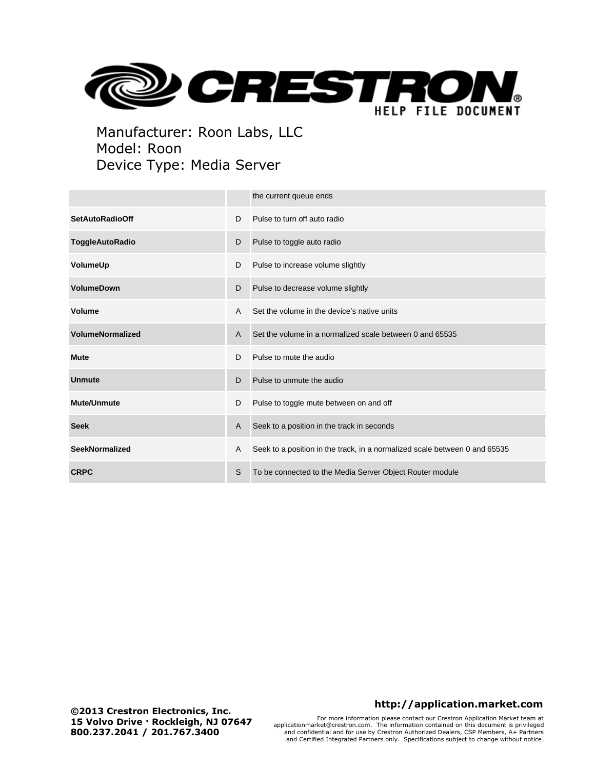

|                         |   | the current queue ends                                                     |
|-------------------------|---|----------------------------------------------------------------------------|
| <b>SetAutoRadioOff</b>  | D | Pulse to turn off auto radio                                               |
| <b>ToggleAutoRadio</b>  | D | Pulse to toggle auto radio                                                 |
| VolumeUp                | D | Pulse to increase volume slightly                                          |
| <b>VolumeDown</b>       | D | Pulse to decrease volume slightly                                          |
| Volume                  | A | Set the volume in the device's native units                                |
| <b>VolumeNormalized</b> | A | Set the volume in a normalized scale between 0 and 65535                   |
| <b>Mute</b>             | D | Pulse to mute the audio                                                    |
| <b>Unmute</b>           | D | Pulse to unmute the audio                                                  |
| <b>Mute/Unmute</b>      | D | Pulse to toggle mute between on and off                                    |
| <b>Seek</b>             | A | Seek to a position in the track in seconds                                 |
| <b>SeekNormalized</b>   | A | Seek to a position in the track, in a normalized scale between 0 and 65535 |
| <b>CRPC</b>             | S | To be connected to the Media Server Object Router module                   |

#### **http://application.market.com**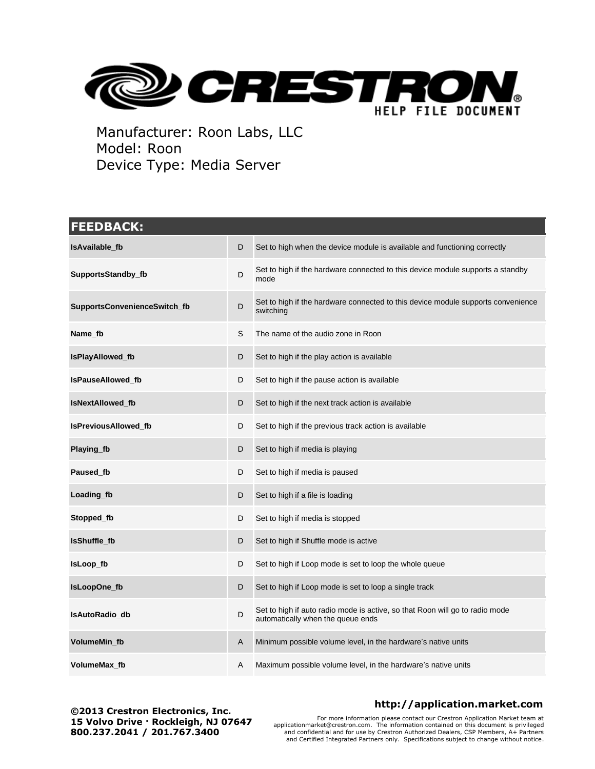

# **FEEDBACK: IsAvailable\_fb IsAvailable\_fb D** Set to high when the device module is available and functioning correctly **SupportsStandby\_fb** D Set to high if the hardware connected to this device module supports a standby mode **SupportsConvenienceSwitch\_fb** D Set to high if the hardware connected to this device module supports convenience switching **Name fb** S The name of the audio zone in Roon **IsPlayAllowed\_fb** D Set to high if the play action is available **IsPauseAllowed\_fb** D Set to high if the pause action is available **IsNextAllowed fb** D Set to high if the next track action is available **IsPreviousAllowed\_fb** D Set to high if the previous track action is available **Playing\_fb** D Set to high if media is playing **Paused\_fb** D Set to high if media is paused **Loading\_fb** D Set to high if a file is loading **Stopped\_fb** D Set to high if media is stopped **IsShuffle\_fb** D Set to high if Shuffle mode is active **IsLoop fb D** Set to high if Loop mode is set to loop the whole queue **IsLoopOne\_fb** D Set to high if Loop mode is set to loop a single track **IsAutoRadio\_db** D Set to high if auto radio mode is active, so that Roon will go to radio mode automatically when the queue ends **VolumeMin\_fb** A Minimum possible volume level, in the hardware's native units **VolumeMax\_fb** A Maximum possible volume level, in the hardware's native units

**©2013 Crestron Electronics, Inc. 15 Volvo Drive · Rockleigh, NJ 07647 800.237.2041 / 201.767.3400**

## **http://application.market.com**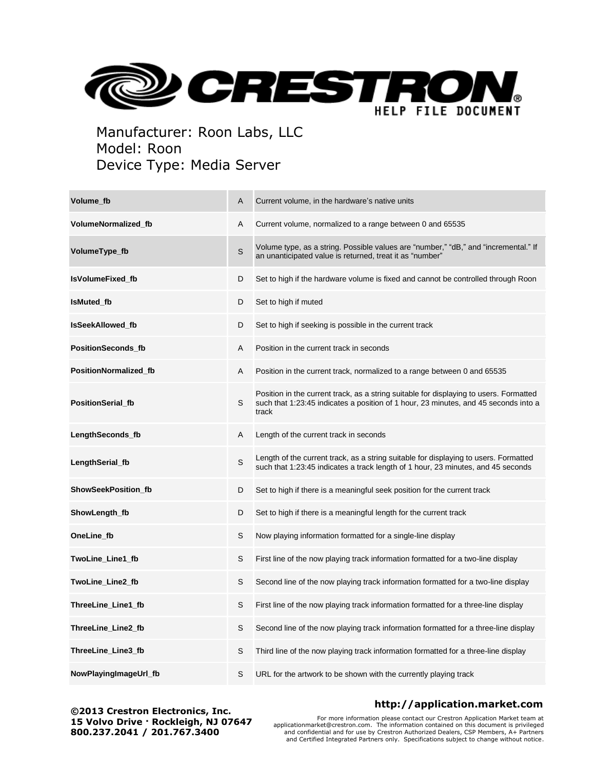

| Volume fb                  | A | Current volume, in the hardware's native units                                                                                                                                         |
|----------------------------|---|----------------------------------------------------------------------------------------------------------------------------------------------------------------------------------------|
| <b>VolumeNormalized fb</b> | A | Current volume, normalized to a range between 0 and 65535                                                                                                                              |
| VolumeType_fb              | S | Volume type, as a string. Possible values are "number," "dB," and "incremental." If<br>an unanticipated value is returned, treat it as "number"                                        |
| <b>IsVolumeFixed fb</b>    | D | Set to high if the hardware volume is fixed and cannot be controlled through Roon                                                                                                      |
| <b>IsMuted fb</b>          | D | Set to high if muted                                                                                                                                                                   |
| <b>IsSeekAllowed fb</b>    | D | Set to high if seeking is possible in the current track                                                                                                                                |
| <b>PositionSeconds fb</b>  | Α | Position in the current track in seconds                                                                                                                                               |
| PositionNormalized_fb      | A | Position in the current track, normalized to a range between 0 and 65535                                                                                                               |
| <b>PositionSerial_fb</b>   | S | Position in the current track, as a string suitable for displaying to users. Formatted<br>such that 1:23:45 indicates a position of 1 hour, 23 minutes, and 45 seconds into a<br>track |
| LengthSeconds_fb           | A | Length of the current track in seconds                                                                                                                                                 |
| LengthSerial_fb            | S | Length of the current track, as a string suitable for displaying to users. Formatted<br>such that 1:23:45 indicates a track length of 1 hour, 23 minutes, and 45 seconds               |
| ShowSeekPosition_fb        | D | Set to high if there is a meaningful seek position for the current track                                                                                                               |
| ShowLength_fb              | D | Set to high if there is a meaningful length for the current track                                                                                                                      |
| OneLine_fb                 | S | Now playing information formatted for a single-line display                                                                                                                            |
| TwoLine_Line1_fb           | S | First line of the now playing track information formatted for a two-line display                                                                                                       |
| TwoLine_Line2_fb           | S | Second line of the now playing track information formatted for a two-line display                                                                                                      |
| ThreeLine_Line1_fb         | S | First line of the now playing track information formatted for a three-line display                                                                                                     |
| ThreeLine_Line2_fb         | S | Second line of the now playing track information formatted for a three-line display                                                                                                    |
| ThreeLine_Line3_fb         | S | Third line of the now playing track information formatted for a three-line display                                                                                                     |
| NowPlayingImageUrl_fb      | S | URL for the artwork to be shown with the currently playing track                                                                                                                       |

**©2013 Crestron Electronics, Inc. 15 Volvo Drive · Rockleigh, NJ 07647 800.237.2041 / 201.767.3400**

## **http://application.market.com**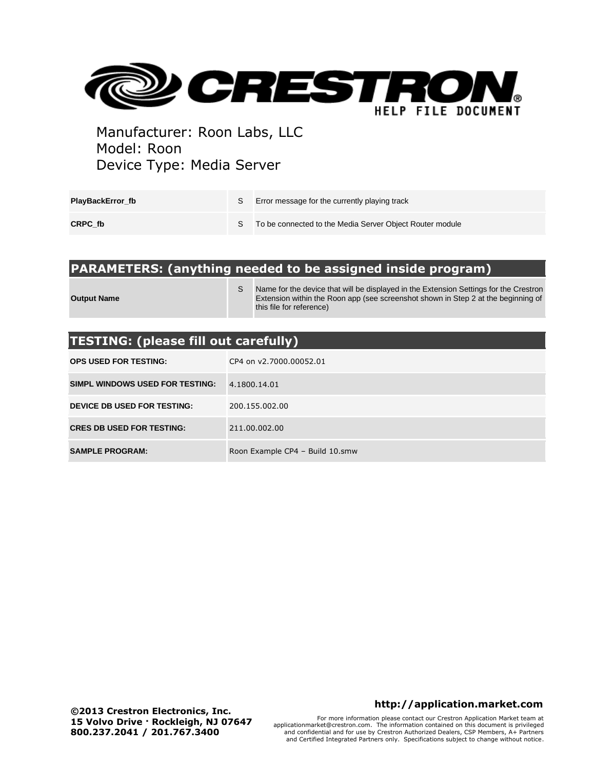

| PlayBackError fb | Error message for the currently playing track            |
|------------------|----------------------------------------------------------|
| CRPC fb          | To be connected to the Media Server Object Router module |

## **PARAMETERS: (anything needed to be assigned inside program)**

**Output Name**

S Name for the device that will be displayed in the Extension Settings for the Crestron Extension within the Roon app (see screenshot shown in Step 2 at the beginning of this file for reference)

# **TESTING: (please fill out carefully)**

| <b>OPS USED FOR TESTING:</b>     | CP4 on v2.7000.00052.01         |  |  |
|----------------------------------|---------------------------------|--|--|
| SIMPL WINDOWS USED FOR TESTING:  | 4.1800.14.01                    |  |  |
| DEVICE DB USED FOR TESTING:      | 200.155.002.00                  |  |  |
| <b>CRES DB USED FOR TESTING:</b> | 211.00.002.00                   |  |  |
| <b>SAMPLE PROGRAM:</b>           | Roon Example CP4 - Build 10.smw |  |  |

#### **http://application.market.com**